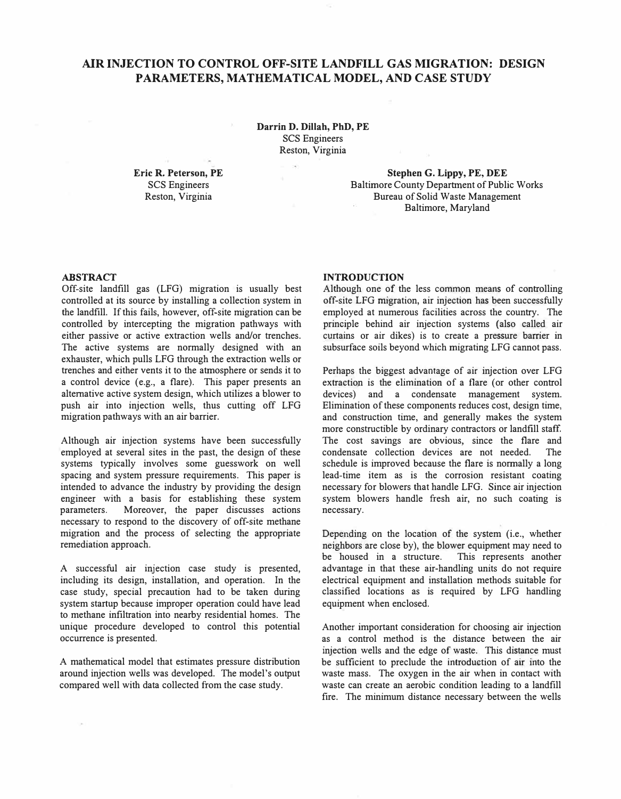### **AIR INJECTION TO CONTROL OFF-SITE LANDFILL GAS MIGRATION: DESIGN PARAMETERS, MATHEMATICAL MODEL, AND CASE STUDY**

**Darrin D. Dillah, PhD, PE**  SCS Engineers Reston, Virginia

**Eric R. Peterson, PE**  SCS Engineers Reston, Virginia

**Stephen G. Lippy, PE, DEE**  Baltimore County Department of Public Works Bureau of Solid Waste Management Baltimore, Maryland

### **ABSTRACT**

Off-site landfill gas (LFG) migration is usually best controlled at its source by installing a collection system in the landfill. If this fails, however, off-site migration can be controlled by intercepting the migration pathways with either passive or active extraction wells and/or trenches. The active systems are normally designed with an exhauster, which pulls LFG through the extraction wells or trenches and either vents it to the atmosphere or sends it to a control device (e.g., a flare). This paper presents an alternative active system design, which utilizes a blower to push air into injection wells, thus cutting off LFG migration pathways with an air barrier.

Although air injection systems have been successfully employed at several sites in the past, the design of these systems typically involves some guesswork on well spacing and system pressure requirements. This paper is intended to advance the industry by providing the design engineer with a basis for establishing these system parameters. Moreover, the paper discusses actions necessary to respond to the discovery of off-site methane migration and the process of selecting the appropriate remediation approach.

A successful air injection case study is presented, including its design, installation, and operation. In the case study, special precaution had to be taken during system startup because improper operation could have lead to methane infiltration into nearby residential homes. The unique procedure developed to control this potential occurrence is presented.

A mathematical model that estimates pressure distribution around injection wells was developed. The model's output compared well with data collected from the case study.

### **INTRODUCTION**

Although one of the less common means of controlling off-site LFG migration, air injection has been successfully employed at numerous facilities across the country. The principle behind air injection systems (also called air curtains or air dikes) is to create a pressure barrier in subsurface soils beyond which migrating LFG cannot pass.

Perhaps the biggest advantage of air injection over LFG extraction is the elimination of a flare (or other control devices) and a condensate management system. Elimination of these components reduces cost, design time, and construction time, and generally makes the system more constructible by ordinary contractors or landfill staff. The cost savings are obvious, since the flare and condensate collection devices are not needed. The schedule is improved because the flare is normally a long lead-time item as is the corrosion resistant coating necessary for blowers that handle LFG. Since air injection system blowers handle fresh air, no such coating is necessary.

Depending on the location of the system (i.e., whether neighbors are close by), the blower equipment may need to be housed in a structure. This represents another advantage in that these air-handling units do not require electrical equipment and installation methods suitable for classified locations as is required by LFG handling equipment when enclosed.

Another important consideration for choosing air injection as a control method is the distance between the air injection wells and the edge of waste. This distance must be sufficient to preclude the introduction of air into the waste mass. The oxygen in the air when in contact with waste can create an aerobic condition leading to a landfill fire. The minimum distance necessary between the wells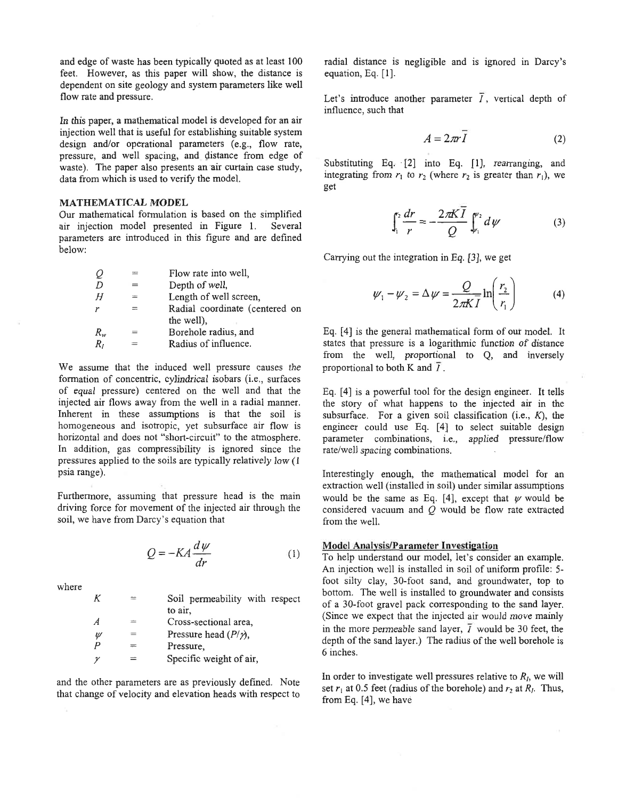and edge of waste has been typically quoted as at least 100 feet. However, as this paper will show, the distance is dependent on site geology and system parameters like well flow rate and pressure.

In this paper, a mathematical model is developed for an air injection well that is useful for establishing suitable system design and/or operational parameters (e.g., flow rate, pressure, and well spacing, and distance from edge of waste). The paper also presents an air curtain case study, data from which is used to verify the model.

### **MATHEMATICAL MODEL**

Our mathematical formulation is based on the simplified air injection model presented in Figure 1. Several parameters are introduced in this figure and are defined below:

| O       | $=$ | Flow rate into well,           |
|---------|-----|--------------------------------|
| D       |     | Depth of well,                 |
| Н       | $=$ | Length of well screen,         |
| r       | =   | Radial coordinate (centered on |
|         |     | the well).                     |
| $R_{w}$ | $=$ | Borehole radius, and           |
| $R_I$   |     | Radius of influence.           |

We assume that the induced well pressure causes the formation of concentric, cylindrical isobars (i.e., surfaces of equal pressure) centered on the well and that the injected air flows away from the well in a radial manner. Inherent in these assumptions is that the soil is homogeneous and isotropic, yet subsurface air flow is horizontal and does not "short-circuit" to the atmosphere. In addition, gas compressibility is ignored since the pressures applied to the soils are typically relatively low (1) psia range).

Furthermore, assuming that pressure head is the main driving force for movement of the injected air through the soil, we have from Darcy's equation that

$$
Q = -KA \frac{d\psi}{dr}
$$
 (1)

where

 $\cal K$ Soil permeability with respect  $\equiv$ to air.  $\overline{A}$ Cross-sectional area,  $=$ Pressure head  $(P/\gamma)$ .  $\mathcal{U}$  $=$  $\overline{P}$  $\equiv$ Pressure,  $\gamma$ Specific weight of air,

and the other parameters are as previously defined. Note that change of velocity and elevation heads with respect to

radial distance is negligible and is ignored in Darcy's equation, Eq. [1].

Let's introduce another parameter  $\overline{I}$ , vertical depth of influence, such that

$$
A = 2\pi r \bar{I} \tag{2}
$$

Substituting Eq. [2] into Eq. [1], rearranging, and integrating from  $r_1$  to  $r_2$  (where  $r_2$  is greater than  $r_1$ ), we get

$$
\int_{1}^{2} \frac{dr}{r} = -\frac{2\pi K \overline{I}}{Q} \int_{r_1}^{\psi_2} d\psi
$$
 (3)

Carrying out the integration in Eq. [3], we get

$$
\psi_1 - \psi_2 = \Delta \psi = \frac{Q}{2\pi K \overline{I}} \ln \left( \frac{r_2}{r_1} \right) \tag{4}
$$

Eq. [4] is the general mathematical form of our model. It states that pressure is a logarithmic function of distance from the well, proportional to Q, and inversely proportional to both K and  $\overline{I}$ .

Eq. [4] is a powerful tool for the design engineer. It tells the story of what happens to the injected air in the subsurface. For a given soil classification (i.e.,  $K$ ), the engineer could use Eq. [4] to select suitable design parameter combinations, i.e., applied pressure/flow rate/well spacing combinations.

Interestingly enough, the mathematical model for an extraction well (installed in soil) under similar assumptions would be the same as Eq. [4], except that  $\psi$  would be considered vacuum and  $Q$  would be flow rate extracted from the well.

#### **Model Analysis/Parameter Investigation**

To help understand our model, let's consider an example. An injection well is installed in soil of uniform profile: 5foot silty clay, 30-foot sand, and groundwater, top to bottom. The well is installed to groundwater and consists of a 30-foot gravel pack corresponding to the sand layer. (Since we expect that the injected air would move mainly in the more permeable sand layer,  $\overline{I}$  would be 30 feet, the depth of the sand layer.) The radius of the well borehole is 6 inches.

In order to investigate well pressures relative to  $R<sub>l</sub>$ , we will set  $r_1$  at 0.5 feet (radius of the borehole) and  $r_2$  at  $R_1$ . Thus, from Eq.  $[4]$ , we have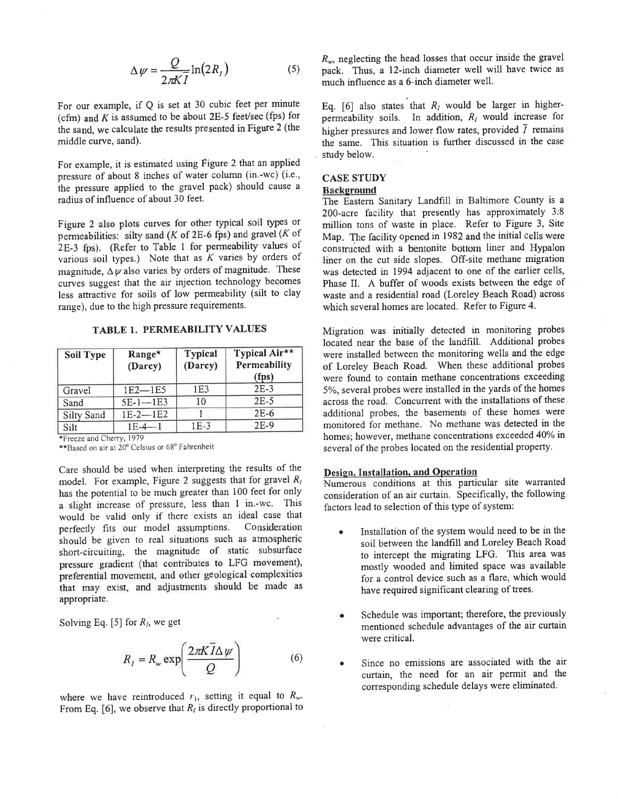$$
\Delta \psi = \frac{Q}{2\pi K \overline{I}} \ln(2R_I) \tag{5}
$$

For our example, if Q is set at 30 cubic feet per minute (cfm) and  $K$  is assumed to be about 2E-5 feet/sec (fps) for the sand, we calculate the results presented in Figure 2 (the middle curve, sand).

For example, it is estimated using Figure 2 that an applied pressure of about 8 inches of water column (in.-wc) (i.e., the pressure applied to the gravel pack) should cause a radius of influence of about 30 feet.

Figure 2 also plots curves for other typical soil types or permeabilities: silty sand ( $K$  of 2E-6 fps) and gravel ( $K$  of 2E-3 fps). (Refer to Table 1 for permeability values of various soil types.) Note that as  $K$  varies by orders of magnitude,  $\Delta \psi$  also varies by orders of magnitude. These curves suggest that the air injection technology becomes less attractive for soils of low permeability (silt to clay range), due to the high pressure requirements.

TABLE 1. PERMEABILITY VALUES

| <b>Soil Type</b> | Range*<br>(Darcy) | <b>Typical</b><br>(Darcy) | Typical Air**<br>Permeability<br>(fps) |
|------------------|-------------------|---------------------------|----------------------------------------|
| Gravel           | $1E2 - 1E5$       | 1E <sub>3</sub>           | $2E-3$                                 |
| Sand             | $5E-1-1E3$        | 10                        | $2E-5$                                 |
| Silty Sand       | $1E-2-1E2$        |                           | $2E-6$                                 |
| Silt             | $1F-4-1$          | $1E-3$                    | $2E-9$                                 |

\*Freeze and Cherry, 1979

\*\*Based on air at 20° Celsius or 68° Fahrenheit

Care should be used when interpreting the results of the model. For example, Figure 2 suggests that for gravel  $R_1$ has the potential to be much greater than 100 feet for only a slight increase of pressure, less than 1 in.-wc. This would be valid only if there exists an ideal case that perfectly fits our model assumptions. Consideration should be given to real situations such as atmospheric short-circuiting, the magnitude of static subsurface pressure gradient (that contributes to LFG movement), preferential movement, and other geological complexities that may exist, and adjustments should be made as appropriate.

Solving Eq. [5] for  $R_l$ , we get

$$
R_{I} = R_{w} \exp\left(\frac{2\pi K \bar{I} \Delta \psi}{Q}\right) \tag{6}
$$

where we have reintroduced  $r_1$ , setting it equal to  $R_w$ . From Eq. [6], we observe that  $R_i$  is directly proportional to  $R_w$ , neglecting the head losses that occur inside the gravel pack. Thus, a 12-inch diameter well will have twice as much influence as a 6-inch diameter well.

Eq. [6] also states that  $R_i$  would be larger in higherpermeability soils. In addition,  $R_I$  would increase for higher pressures and lower flow rates, provided  $\bar{I}$  remains the same. This situation is further discussed in the case study below.

## **CASE STUDY**

**Background** 

The Eastern Sanitary Landfill in Baltimore County is a 200-acre facility that presently has approximately 3:8 million tons of waste in place. Refer to Figure 3, Site Map. The facility opened in 1982 and the initial cells were constructed with a bentonite bottom liner and Hypalon liner on the cut side slopes. Off-site methane migration was detected in 1994 adjacent to one of the earlier cells, Phase II. A buffer of woods exists between the edge of waste and a residential road (Loreley Beach Road) across which several homes are located. Refer to Figure 4.

Migration was initially detected in monitoring probes located near the base of the landfill. Additional probes were installed between the monitoring wells and the edge of Loreley Beach Road. When these additional probes were found to contain methane concentrations exceeding 5%, several probes were installed in the yards of the homes across the road. Concurrent with the installations of these additional probes, the basements of these homes were monitored for methane. No methane was detected in the homes; however, methane concentrations exceeded 40% in several of the probes located on the residential property.

### Design, Installation, and Operation

Numerous conditions at this particular site warranted consideration of an air curtain. Specifically, the following factors lead to selection of this type of system:

- Installation of the system would need to be in the soil between the landfill and Loreley Beach Road to intercept the migrating LFG. This area was mostly wooded and limited space was available for a control device such as a flare, which would have required significant clearing of trees.
- Schedule was important; therefore, the previously mentioned schedule advantages of the air curtain were critical.
- Since no emissions are associated with the air  $\bullet$ curtain, the need for an air permit and the corresponding schedule delays were eliminated.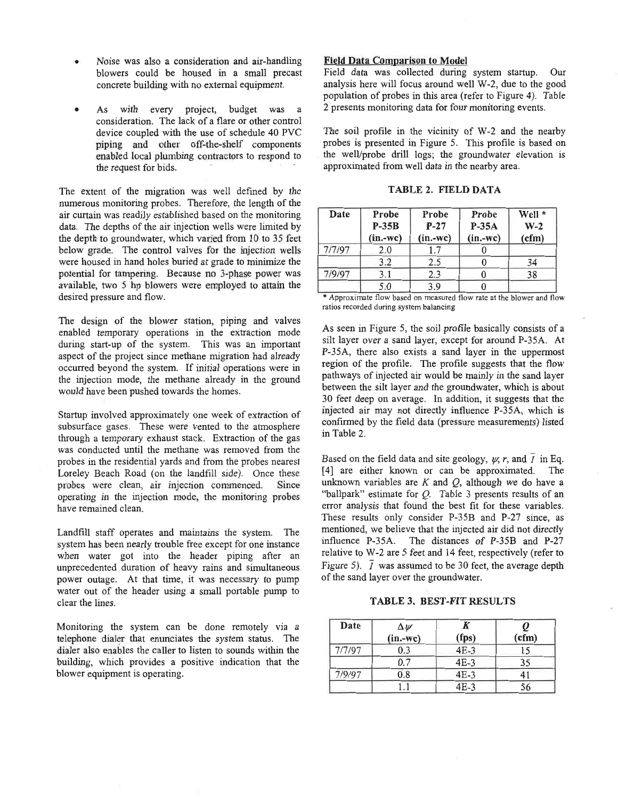- Noise was also a consideration and air-handling blowers could be housed in a small precast concrete building with no external equipment.
- As with every project, budget was a consideration. The lack of a flare or other control device coupled with the use of schedule 40 PVC piping and other off-the-shelf components enabled local plumbing contractors to respond to the request for bids.

The extent of the migration was well defined by the numerous monitoring probes. Therefore, the length of the air curtain was readily established based on the monitoring data. The depths of the air injection wells were limited by the depth to groundwater, which varied from 10 to 35 feet below grade. The control valves for the injection wells were housed in hand holes buried at grade to minimize the potential for tampering. Because no 3-phase power was available, two 5 hp blowers were employed to attain the desired pressure and flow.

The design of the blower station, piping and valves enabled temporary operations in the extraction mode during start-up of the system. This was an important aspect of the project since methane migration had already occurred beyond the system. If initial operations were in the injection mode, the methane already in the ground would have been pushed towards the homes.

Startup involved approximately one week of extraction of subsurface gases. These were vented to the atmosphere through a temporary exhaust stack. Extraction of the gas was conducted until the methane was removed from the probes in the residential yards and from the probes nearest Loreley Beach Road (on the landfill side). Once these probes were clean, air injection commenced. Since operating in the injection mode, the monitoring probes have remained clean.

Landfill staff operates and maintains the system. The system has been nearly trouble free except for one instance when water got into the header piping after an unprecedented duration of heavy rains and simultaneous power outage. At that time, it was necessary to pump water out of the header using a small portable pump to clear the lines.

Monitoring the system can be done remotely via a telephone dialer that enunciates the system status. The dialer also enables the caller to listen to sounds within the building, which provides a positive indication that the blower equipment is operating.

### **Field Data Comparison to Model**

Field data was collected during system startup. Our analysis here will focus around well W-2, due to the good population of probes in this area (refer to Figure 4). Table 2 presents monitoring data for four monitoring events.

The soil profile in the vicinity of W-2 and the nearby probes is presented in Figure 5. This profile is based on the well/probe drill logs; the groundwater elevation is approximated from well data in the nearby area.

| TABLE 2. FIELD DATA |  |
|---------------------|--|
|---------------------|--|

| Date   | Probe<br>$P-35B$<br>$(in.-wc)$ | Probe<br>$P-27$<br>$(in.-wc)$ | Probe<br>$P-35A$<br>$(in.-wc)$ | Well *<br>$W-2$<br>(cfm) |
|--------|--------------------------------|-------------------------------|--------------------------------|--------------------------|
| 7/7/97 | 2.0                            |                               |                                |                          |
|        | 3.2                            | 2.5                           |                                | 34                       |
| 7/9/97 | 3.1                            | 2.3                           |                                | 38                       |
|        | 5.0                            | 3.9                           |                                |                          |

\* Approximate flow based on measured flow rate at the blower and flow ratios recorded during system balancing

As seen in Figure 5, the soil profile basically consists of a silt layer over a sand layer, except for around P-35A. At P-35A, there also exists a sand layer in the uppermost region of the profile. The profile suggests that the flow pathways of injected air would be mainly in the sand layer between the silt layer and the groundwater, which is about 30 feet deep on average. In addition, it suggests that the injected air may not directly influence P-35A, which is confirmed by the field data (pressure measurements) listed in Table 2.

Based on the field data and site geology,  $\psi$ , r, and  $\bar{I}$  in Eq. [4] are either known or can be approximated. The unknown variables are  $K$  and  $Q$ , although we do have a "ballpark" estimate for  $Q$ . Table 3 presents results of an error analysis that found the best fit for these variables. These results only consider P-35B and P-27 since, as mentioned, we believe that the injected air did not directly influence P-35A. The distances of P-35B and P-27 relative to W-2 are 5 feet and 14 feet, respectively (refer to Figure 5).  $\bar{I}$  was assumed to be 30 feet, the average depth of the sand layer over the groundwater.

TABLE 3. BEST-FIT RESULTS

| Date   | $\Delta \psi$<br>$(in.-wc)$ | (fps)  | (cfm) |
|--------|-----------------------------|--------|-------|
| 7/7/97 | 0.3                         | $4E-3$ | 15    |
|        | 0.7                         | $4E-3$ | 35    |
| 7/9/97 | 0.8                         | $4E-3$ | 41    |
|        |                             | $4E-3$ | 56    |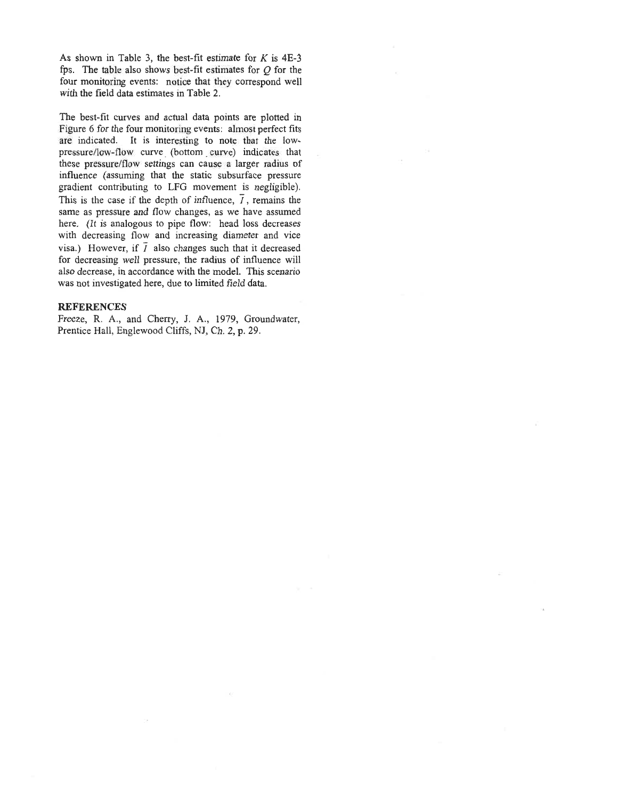As shown in Table 3, the best-fit estimate for  $K$  is 4E-3 fps. The table also shows best-fit estimates for  $O$  for the four monitoring events: notice that they correspond well with the field data estimates in Table 2.

The best-fit curves and actual data points are plotted in Figure 6 for the four monitoring events: almost perfect fits are indicated. It is interesting to note that the lowpressure/low-flow curve (bottom curve) indicates that these pressure/flow settings can cause a larger radius of influence (assuming that the static subsurface pressure gradient contributing to LFG movement is negligible). This is the case if the depth of influence,  $\overline{I}$ , remains the same as pressure and flow changes, as we have assumed here. (It is analogous to pipe flow: head loss decreases with decreasing flow and increasing diameter and vice visa.) However, if  $\overline{I}$  also changes such that it decreased for decreasing well pressure, the radius of influence will also decrease, in accordance with the model. This scenario was not investigated here, due to limited field data.

### **REFERENCES**

Freeze, R. A., and Cherry, J. A., 1979, Groundwater, Prentice Hall, Englewood Cliffs, NJ, Ch. 2, p. 29.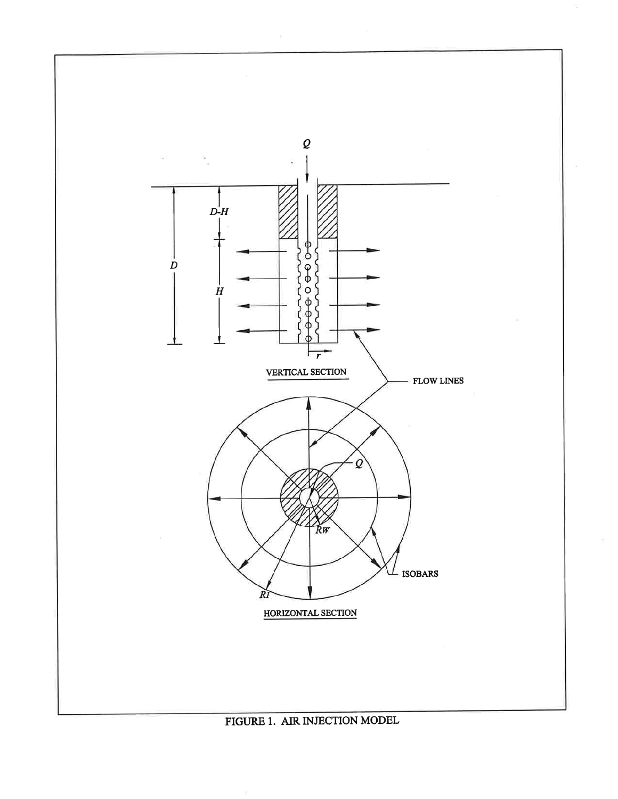

FIGURE 1. AIR INJECTION MODEL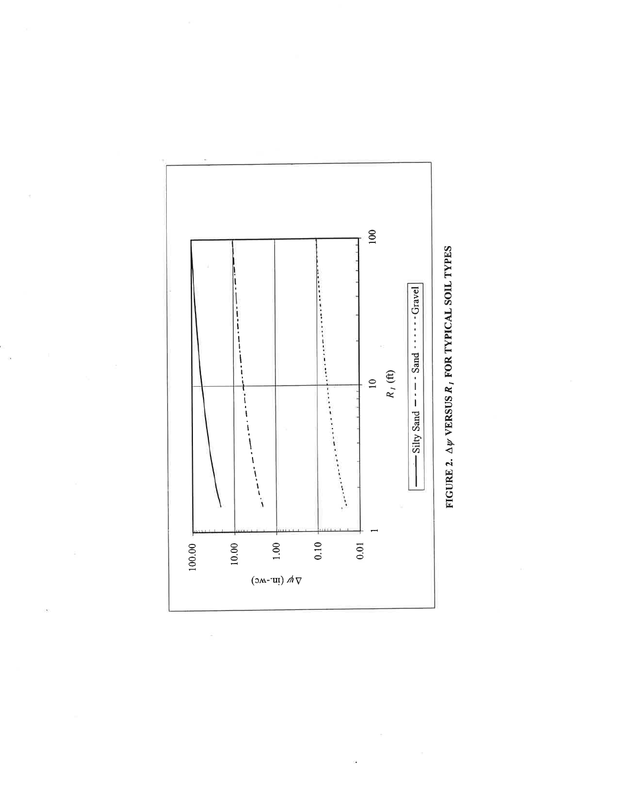

ä

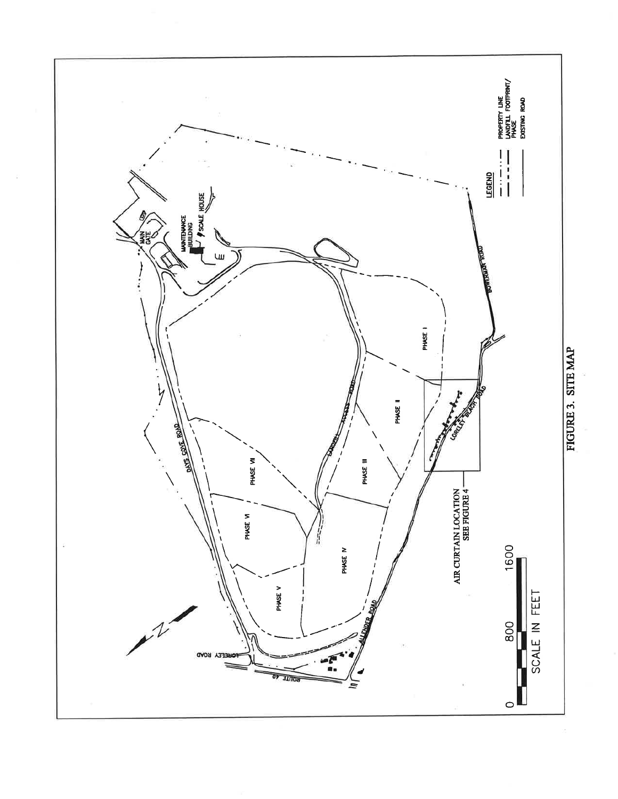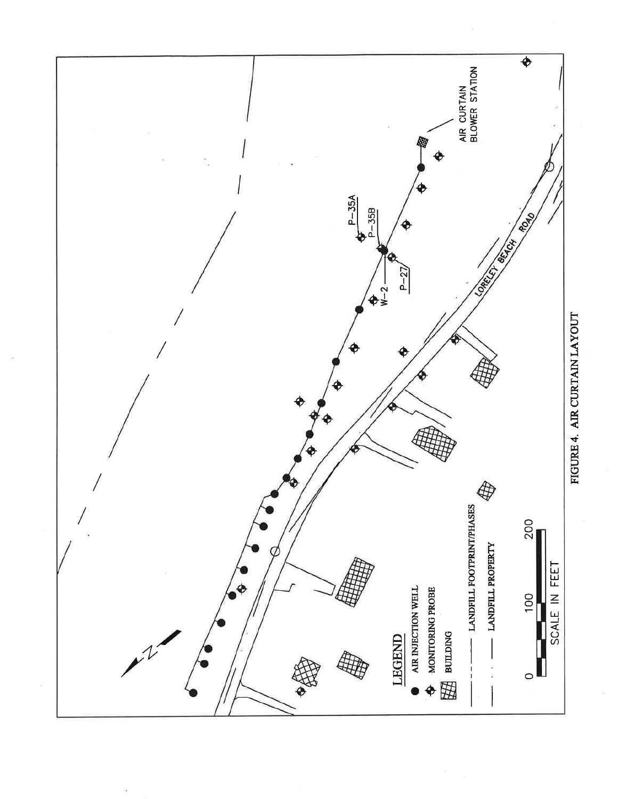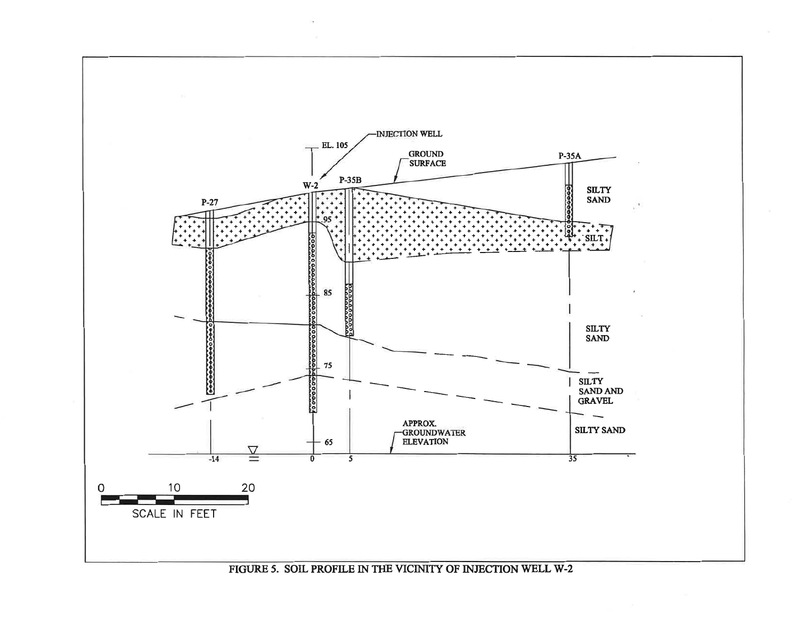